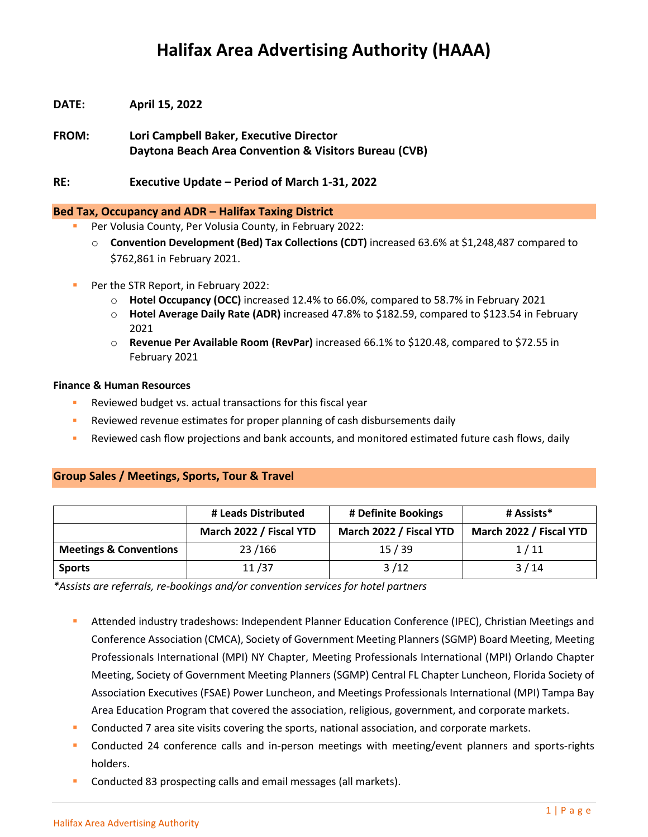# **Halifax Area Advertising Authority (HAAA)**

- **DATE: April 15, 2022**
- **FROM: Lori Campbell Baker, Executive Director Daytona Beach Area Convention & Visitors Bureau (CVB)**
- **RE: Executive Update – Period of March 1-31, 2022**

### **Bed Tax, Occupancy and ADR – Halifax Taxing District**

- Per Volusia County, Per Volusia County, in February 2022:
	- o **Convention Development (Bed) Tax Collections (CDT)** increased 63.6% at \$1,248,487 compared to \$762,861 in February 2021.
- Per the STR Report, in February 2022:
	- o **Hotel Occupancy (OCC)** increased 12.4% to 66.0%, compared to 58.7% in February 2021
	- o **Hotel Average Daily Rate (ADR)** increased 47.8% to \$182.59, compared to \$123.54 in February 2021
	- o **Revenue Per Available Room (RevPar)** increased 66.1% to \$120.48, compared to \$72.55 in February 2021

#### **Finance & Human Resources**

- **EXECTE:** Reviewed budget vs. actual transactions for this fiscal year
- **EXECTE FIGHT FIGURY III A** Reviewed revenue estimates for proper planning of cash disbursements daily
- Reviewed cash flow projections and bank accounts, and monitored estimated future cash flows, daily

## **Group Sales / Meetings, Sports, Tour & Travel**

|                                   | # Leads Distributed     | # Definite Bookings     | # Assists*              |
|-----------------------------------|-------------------------|-------------------------|-------------------------|
|                                   | March 2022 / Fiscal YTD | March 2022 / Fiscal YTD | March 2022 / Fiscal YTD |
| <b>Meetings &amp; Conventions</b> | 23/166                  | 15/39                   | 1/11                    |
| <b>Sports</b>                     | 11/37                   | 3/12                    | 3/14                    |

*\*Assists are referrals, re-bookings and/or convention services for hotel partners*

- Attended industry tradeshows: Independent Planner Education Conference (IPEC), Christian Meetings and Conference Association (CMCA), Society of Government Meeting Planners (SGMP) Board Meeting, Meeting Professionals International (MPI) NY Chapter, Meeting Professionals International (MPI) Orlando Chapter Meeting, Society of Government Meeting Planners (SGMP) Central FL Chapter Luncheon, Florida Society of Association Executives (FSAE) Power Luncheon, and Meetings Professionals International (MPI) Tampa Bay Area Education Program that covered the association, religious, government, and corporate markets.
- Conducted 7 area site visits covering the sports, national association, and corporate markets.
- Conducted 24 conference calls and in-person meetings with meeting/event planners and sports-rights holders.
- Conducted 83 prospecting calls and email messages (all markets).